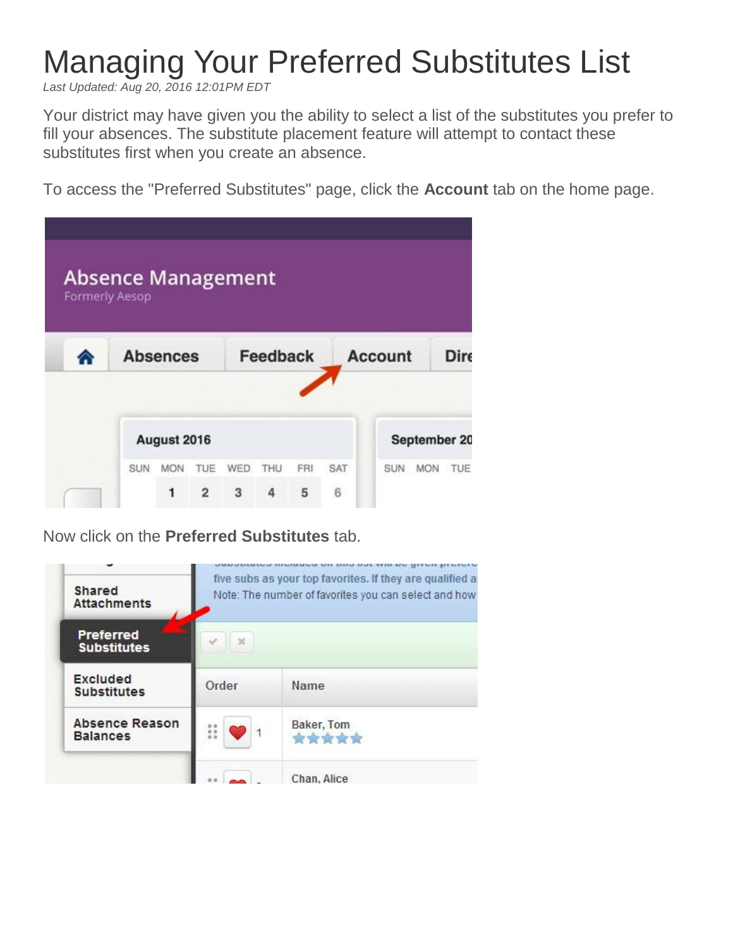## Managing Your Preferred Substitutes List

*Last Updated: Aug 20, 2016 12:01PM EDT*

Your district may have given you the ability to select a list of the substitutes you prefer to fill your absences. The substitute placement feature will attempt to contact these substitutes first when you create an absence.

To access the "Preferred Substitutes" page, click the **Account** tab on the home page.

| <b>Absence Management</b><br><b>Formerly Aesop</b> |                 |                |                 |     |     |                |            |                   |
|----------------------------------------------------|-----------------|----------------|-----------------|-----|-----|----------------|------------|-------------------|
|                                                    | <b>Absences</b> |                | <b>Feedback</b> |     |     | <b>Account</b> |            | Dire              |
|                                                    | August 2016     |                |                 |     |     |                |            | September 20      |
| <b>SUN</b>                                         | <b>MON</b>      | TUE            | <b>WED</b>      | THU | FRI | SAT            | <b>SUN</b> | TUE<br><b>MON</b> |
|                                                    | 1               | $\overline{2}$ | 3               | 4   | 5   | 6              |            |                   |

Now click on the **Preferred Substitutes** tab.

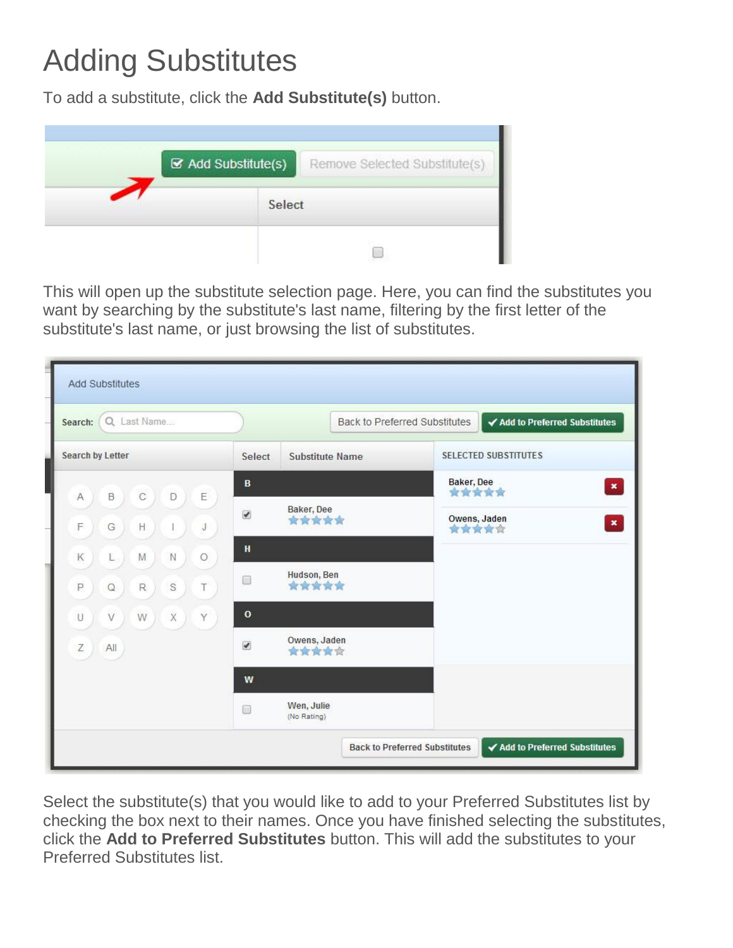## Adding Substitutes

To add a substitute, click the **Add Substitute(s)** button.



This will open up the substitute selection page. Here, you can find the substitutes you want by searching by the substitute's last name, filtering by the first letter of the substitute's last name, or just browsing the list of substitutes.

| Search: Q Last Name                                 |                       |                           | Back to Preferred Substitutes<br>✔ Add to Preferred Substitutes |
|-----------------------------------------------------|-----------------------|---------------------------|-----------------------------------------------------------------|
| <b>Search by Letter</b>                             | Select                | <b>Substitute Name</b>    | <b>SELECTED SUBSTITUTES</b>                                     |
| E<br>B<br>C<br>A<br>D                               | $\mathbf{B}$          |                           | Baker, Dee<br>$\pmb{\times}$<br>*****                           |
| F<br>H<br>G<br>J                                    | $\blacktriangledown$  | Baker, Dee<br>*****       | Owens, Jaden<br>$\pmb{\times}$<br>★★★★☆                         |
| ${\mathsf N}$<br>К<br>M<br>$\circ$<br>L             | H                     |                           |                                                                 |
| $\mathbb S$<br>P<br>Τ<br>$\mathsf R$<br>$\mathsf Q$ | 圖                     | Hudson, Ben<br>*****      |                                                                 |
| X<br>Y<br>U<br>V<br>W                               | $\mathbf{o}$          |                           |                                                                 |
| Ζ<br>All                                            | $\blacktriangleright$ | Owens, Jaden<br>★★★★☆     |                                                                 |
|                                                     | W                     |                           |                                                                 |
|                                                     | $\Box$                | Wen, Julie<br>(No Rating) |                                                                 |

Select the substitute(s) that you would like to add to your Preferred Substitutes list by checking the box next to their names. Once you have finished selecting the substitutes, click the **Add to Preferred Substitutes** button. This will add the substitutes to your Preferred Substitutes list.